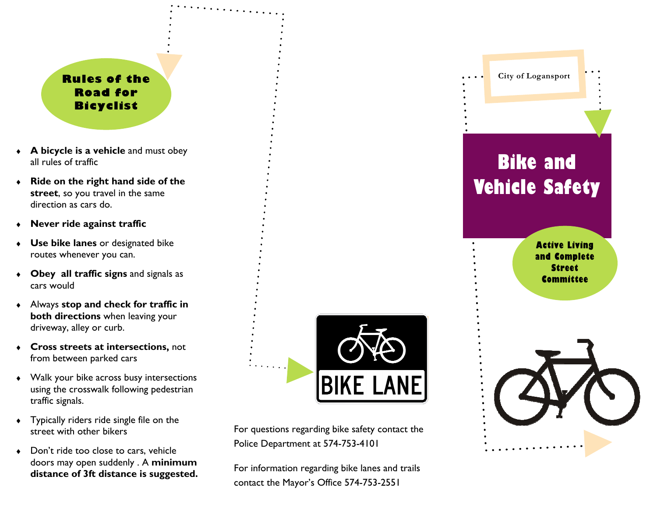### Rules of the Road for Bicyclist

- ♦ A bicycle is a vehicle and must obey all rules of traffic
- $\triangleleft$  Ride on the right hand side of the street, so you travel in the same direction as cars do.
- Never ride against traffic
- ♦ Use bike lanes or designated bike routes whenever you can.
- ♦ Obey all traffic signs and signals as cars would
- ♦ Always stop and check for traffic in both directions when leaving your driveway, alley or curb.
- ♦ Cross streets at intersections, not from between parked cars
- ♦ Walk your bike across busy intersections using the crosswalk following pedestrian traffic signals.
- ♦ Typically riders ride single file on the street with other bikers
- ♦ Don't ride too close to cars, vehicle doors may open suddenly . A minimum distance of 3ft distance is suggested.



For questions regarding bike safety contact the Police Department at 574-753-4101

For information regarding bike lanes and trails contact the Mayor's Office 574-753-2551